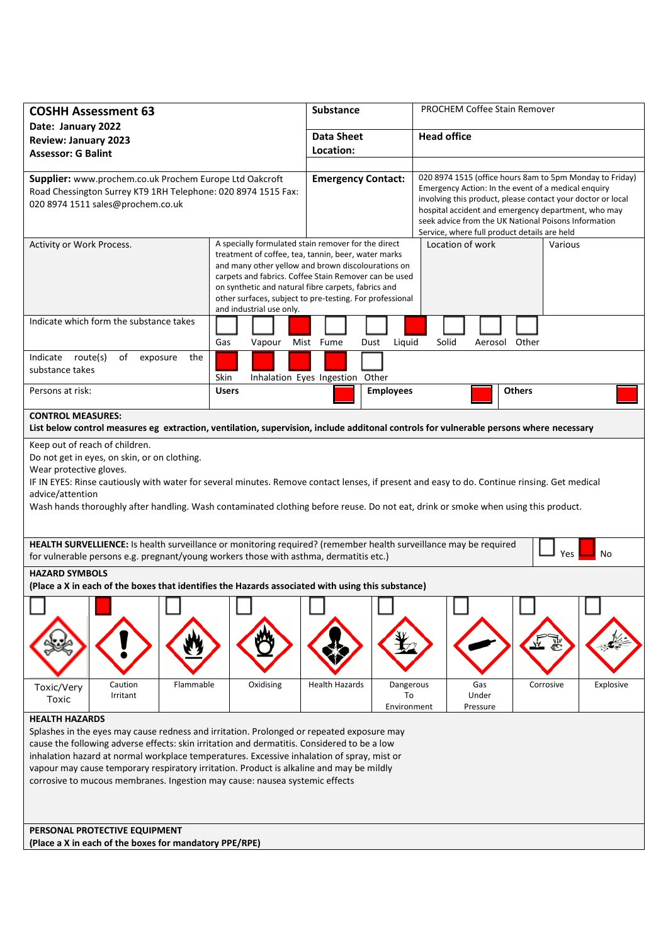| <b>COSHH Assessment 63</b>                                                                                                                                                                                                                                                                                                                                                                                                                                                                                                                                                                                           |                                                                                 | <b>Substance</b>                                                                                                                                                                                                                                                                      |                                | PROCHEM Coffee Stain Remover                                                                                                                                                                                                                                                                                                                  |               |           |  |
|----------------------------------------------------------------------------------------------------------------------------------------------------------------------------------------------------------------------------------------------------------------------------------------------------------------------------------------------------------------------------------------------------------------------------------------------------------------------------------------------------------------------------------------------------------------------------------------------------------------------|---------------------------------------------------------------------------------|---------------------------------------------------------------------------------------------------------------------------------------------------------------------------------------------------------------------------------------------------------------------------------------|--------------------------------|-----------------------------------------------------------------------------------------------------------------------------------------------------------------------------------------------------------------------------------------------------------------------------------------------------------------------------------------------|---------------|-----------|--|
| Date: January 2022<br><b>Review: January 2023</b><br><b>Assessor: G Balint</b>                                                                                                                                                                                                                                                                                                                                                                                                                                                                                                                                       |                                                                                 | <b>Data Sheet</b><br>Location:                                                                                                                                                                                                                                                        |                                | <b>Head office</b>                                                                                                                                                                                                                                                                                                                            |               |           |  |
| Supplier: www.prochem.co.uk Prochem Europe Ltd Oakcroft<br>Road Chessington Surrey KT9 1RH Telephone: 020 8974 1515 Fax:<br>020 8974 1511 sales@prochem.co.uk                                                                                                                                                                                                                                                                                                                                                                                                                                                        |                                                                                 | <b>Emergency Contact:</b>                                                                                                                                                                                                                                                             |                                | 020 8974 1515 (office hours 8am to 5pm Monday to Friday)<br>Emergency Action: In the event of a medical enquiry<br>involving this product, please contact your doctor or local<br>hospital accident and emergency department, who may<br>seek advice from the UK National Poisons Information<br>Service, where full product details are held |               |           |  |
| Activity or Work Process.                                                                                                                                                                                                                                                                                                                                                                                                                                                                                                                                                                                            | on synthetic and natural fibre carpets, fabrics and<br>and industrial use only. | A specially formulated stain remover for the direct<br>treatment of coffee, tea, tannin, beer, water marks<br>and many other yellow and brown discolourations on<br>carpets and fabrics. Coffee Stain Remover can be used<br>other surfaces, subject to pre-testing. For professional |                                | Location of work<br>Various                                                                                                                                                                                                                                                                                                                   |               |           |  |
| Indicate which form the substance takes                                                                                                                                                                                                                                                                                                                                                                                                                                                                                                                                                                              | Gas<br>Vapour                                                                   | Mist Fume                                                                                                                                                                                                                                                                             | Dust<br>Liquid                 | Solid                                                                                                                                                                                                                                                                                                                                         | Aerosol Other |           |  |
| Indicate route(s)<br>οf<br>exposure<br>the<br>substance takes                                                                                                                                                                                                                                                                                                                                                                                                                                                                                                                                                        | Skin                                                                            | Inhalation Eyes Ingestion Other                                                                                                                                                                                                                                                       |                                |                                                                                                                                                                                                                                                                                                                                               |               |           |  |
| Persons at risk:                                                                                                                                                                                                                                                                                                                                                                                                                                                                                                                                                                                                     | <b>Users</b>                                                                    |                                                                                                                                                                                                                                                                                       | <b>Employees</b>               |                                                                                                                                                                                                                                                                                                                                               | <b>Others</b> |           |  |
| <b>CONTROL MEASURES:</b><br>List below control measures eg extraction, ventilation, supervision, include additonal controls for vulnerable persons where necessary                                                                                                                                                                                                                                                                                                                                                                                                                                                   |                                                                                 |                                                                                                                                                                                                                                                                                       |                                |                                                                                                                                                                                                                                                                                                                                               |               |           |  |
| Do not get in eyes, on skin, or on clothing.<br>Wear protective gloves.<br>IF IN EYES: Rinse cautiously with water for several minutes. Remove contact lenses, if present and easy to do. Continue rinsing. Get medical<br>advice/attention<br>Wash hands thoroughly after handling. Wash contaminated clothing before reuse. Do not eat, drink or smoke when using this product.<br>HEALTH SURVELLIENCE: Is health surveillance or monitoring required? (remember health surveillance may be required<br><b>Yes</b><br>No<br>for vulnerable persons e.g. pregnant/young workers those with asthma, dermatitis etc.) |                                                                                 |                                                                                                                                                                                                                                                                                       |                                |                                                                                                                                                                                                                                                                                                                                               |               |           |  |
| <b>HAZARD SYMBOLS</b><br>(Place a X in each of the boxes that identifies the Hazards associated with using this substance)                                                                                                                                                                                                                                                                                                                                                                                                                                                                                           |                                                                                 |                                                                                                                                                                                                                                                                                       |                                |                                                                                                                                                                                                                                                                                                                                               |               |           |  |
|                                                                                                                                                                                                                                                                                                                                                                                                                                                                                                                                                                                                                      |                                                                                 |                                                                                                                                                                                                                                                                                       |                                |                                                                                                                                                                                                                                                                                                                                               |               |           |  |
| Caution<br>Flammable<br>Toxic/Very<br>Irritant<br>Toxic                                                                                                                                                                                                                                                                                                                                                                                                                                                                                                                                                              | Oxidising                                                                       | <b>Health Hazards</b>                                                                                                                                                                                                                                                                 | Dangerous<br>To<br>Environment | Gas<br>Under<br>Pressure                                                                                                                                                                                                                                                                                                                      | Corrosive     | Explosive |  |
| <b>HEALTH HAZARDS</b><br>Splashes in the eyes may cause redness and irritation. Prolonged or repeated exposure may<br>cause the following adverse effects: skin irritation and dermatitis. Considered to be a low<br>inhalation hazard at normal workplace temperatures. Excessive inhalation of spray, mist or<br>vapour may cause temporary respiratory irritation. Product is alkaline and may be mildly<br>corrosive to mucous membranes. Ingestion may cause: nausea systemic effects<br>PERSONAL PROTECTIVE EQUIPMENT                                                                                          |                                                                                 |                                                                                                                                                                                                                                                                                       |                                |                                                                                                                                                                                                                                                                                                                                               |               |           |  |
| (Place a X in each of the boxes for mandatory PPE/RPE)                                                                                                                                                                                                                                                                                                                                                                                                                                                                                                                                                               |                                                                                 |                                                                                                                                                                                                                                                                                       |                                |                                                                                                                                                                                                                                                                                                                                               |               |           |  |